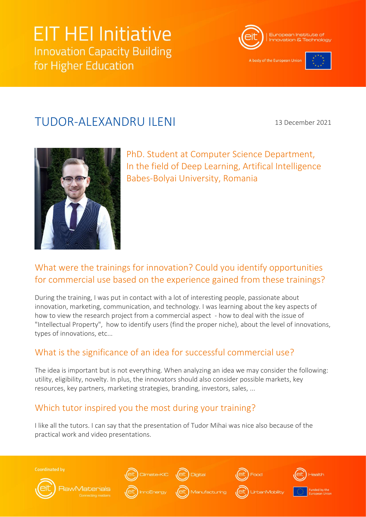# **EIT HEI Initiative Innovation Capacity Building** for Higher Education



A body of the European Unio



# TUDOR-ALEXANDRU ILENI

13 December 2021



PhD. Student at Computer Science Department, In the field of Deep Learning, Artifical Intelligence Babes-Bolyai University, Romania

## What were the trainings for innovation? Could you identify opportunities for commercial use based on the experience gained from these trainings?

During the training, I was put in contact with a lot of interesting people, passionate about innovation, marketing, communication, and technology. I was learning about the key aspects of how to view the research project from a commercial aspect - how to deal with the issue of "Intellectual Property", how to identify users (find the proper niche), about the level of innovations, types of innovations, etc...

### What is the significance of an idea for successful commercial use?

The idea is important but is not everything. When analyzing an idea we may consider the following: utility, eligibility, novelty. In plus, the innovators should also consider possible markets, key resources, key partners, marketing strategies, branding, investors, sales, ...

# Which tutor inspired you the most during your training?

I like all the tutors. I can say that the presentation of Tudor Mihai was nice also because of the practical work and video presentations.